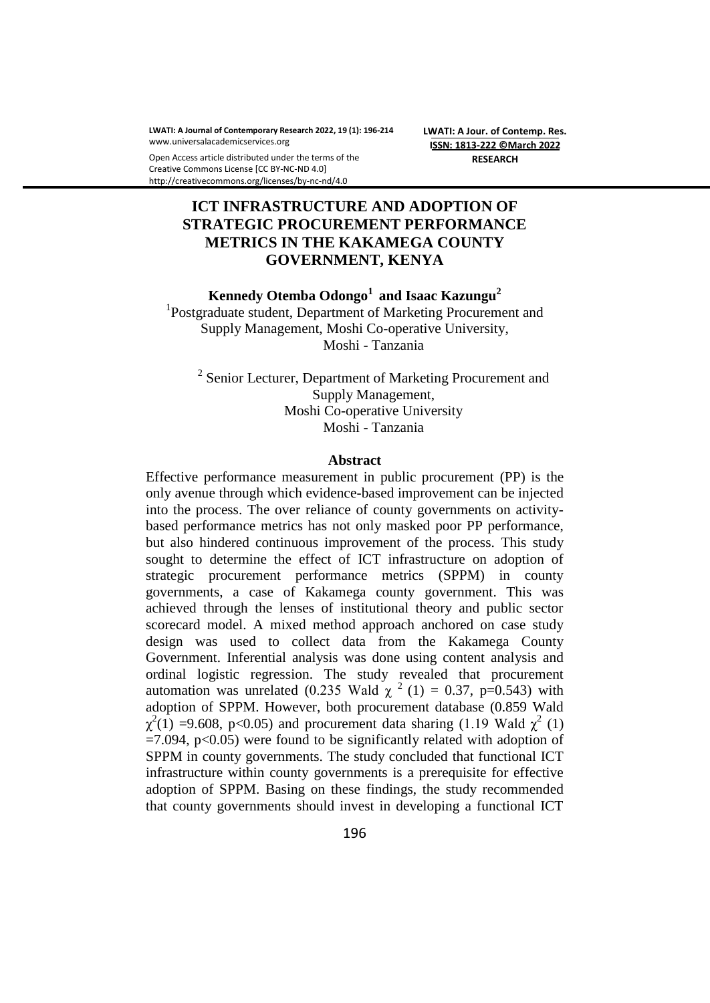**LWATI: A Journal of Contemporary Research 2022, 19 (1): 196-214** www.universalacademicservices.org

**LWATI: A Jour. of Contemp. Res. ISSN: 1813-222 ©March 2022 RESEARCH**

#### Open Access article distributed under the terms of the Creative Commons License [CC BY-NC-ND 4.0] http://creativecommons.org/licenses/by-nc-nd/4.0

# **ICT INFRASTRUCTURE AND ADOPTION OF STRATEGIC PROCUREMENT PERFORMANCE METRICS IN THE KAKAMEGA COUNTY GOVERNMENT, KENYA**

**Kennedy Otemba Odongo<sup>1</sup>and Isaac Kazungu<sup>2</sup>**

<sup>1</sup>Postgraduate student, Department of Marketing Procurement and Supply Management, Moshi Co-operative University, Moshi - Tanzania

<sup>2</sup> Senior Lecturer, Department of Marketing Procurement and Supply Management, Moshi Co-operative University Moshi - Tanzania

#### **Abstract**

Effective performance measurement in public procurement (PP) is the only avenue through which evidence-based improvement can be injected into the process. The over reliance of county governments on activitybased performance metrics has not only masked poor PP performance, but also hindered continuous improvement of the process. This study sought to determine the effect of ICT infrastructure on adoption of strategic procurement performance metrics (SPPM) in county governments, a case of Kakamega county government. This was achieved through the lenses of institutional theory and public sector scorecard model. A mixed method approach anchored on case study design was used to collect data from the Kakamega County Government. Inferential analysis was done using content analysis and ordinal logistic regression. The study revealed that procurement automation was unrelated (0.235 Wald  $\chi^2$  (1) = 0.37, p=0.543) with adoption of SPPM. However, both procurement database (0.859 Wald  $\chi^2(1)$  =9.608, p<0.05) and procurement data sharing (1.19 Wald  $\chi^2$  (1)  $=7.094$ , p $< 0.05$ ) were found to be significantly related with adoption of SPPM in county governments. The study concluded that functional ICT infrastructure within county governments is a prerequisite for effective adoption of SPPM. Basing on these findings, the study recommended that county governments should invest in developing a functional ICT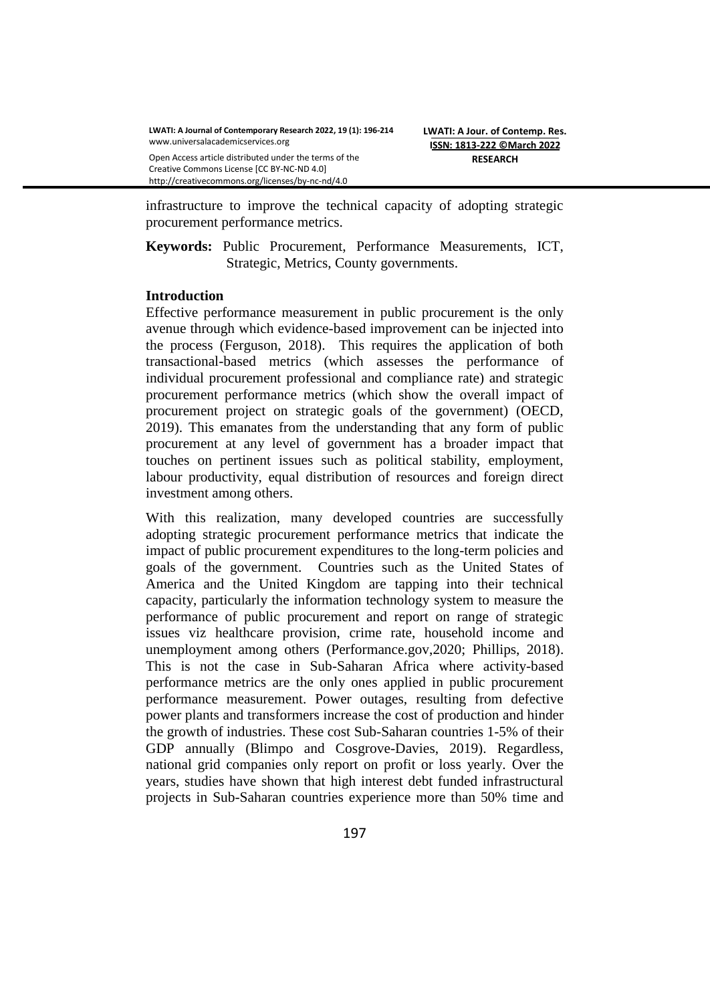Open Access article distributed under the terms of the Creative Commons License [CC BY-NC-ND 4.0] http://creativecommons.org/licenses/by-nc-nd/4.0

infrastructure to improve the technical capacity of adopting strategic procurement performance metrics.

**Keywords:** Public Procurement, Performance Measurements, ICT, Strategic, Metrics, County governments.

### **Introduction**

Effective performance measurement in public procurement is the only avenue through which evidence-based improvement can be injected into the process (Ferguson, 2018). This requires the application of both transactional-based metrics (which assesses the performance of individual procurement professional and compliance rate) and strategic procurement performance metrics (which show the overall impact of procurement project on strategic goals of the government) (OECD, 2019). This emanates from the understanding that any form of public procurement at any level of government has a broader impact that touches on pertinent issues such as political stability, employment, labour productivity, equal distribution of resources and foreign direct investment among others.

With this realization, many developed countries are successfully adopting strategic procurement performance metrics that indicate the impact of public procurement expenditures to the long-term policies and goals of the government. Countries such as the United States of America and the United Kingdom are tapping into their technical capacity, particularly the information technology system to measure the performance of public procurement and report on range of strategic issues viz healthcare provision, crime rate, household income and unemployment among others (Performance.gov,2020; Phillips, 2018). This is not the case in Sub-Saharan Africa where activity-based performance metrics are the only ones applied in public procurement performance measurement. Power outages, resulting from defective power plants and transformers increase the cost of production and hinder the growth of industries. These cost Sub-Saharan countries 1-5% of their GDP annually (Blimpo and Cosgrove-Davies, 2019). Regardless, national grid companies only report on profit or loss yearly. Over the years, studies have shown that high interest debt funded infrastructural projects in Sub-Saharan countries experience more than 50% time and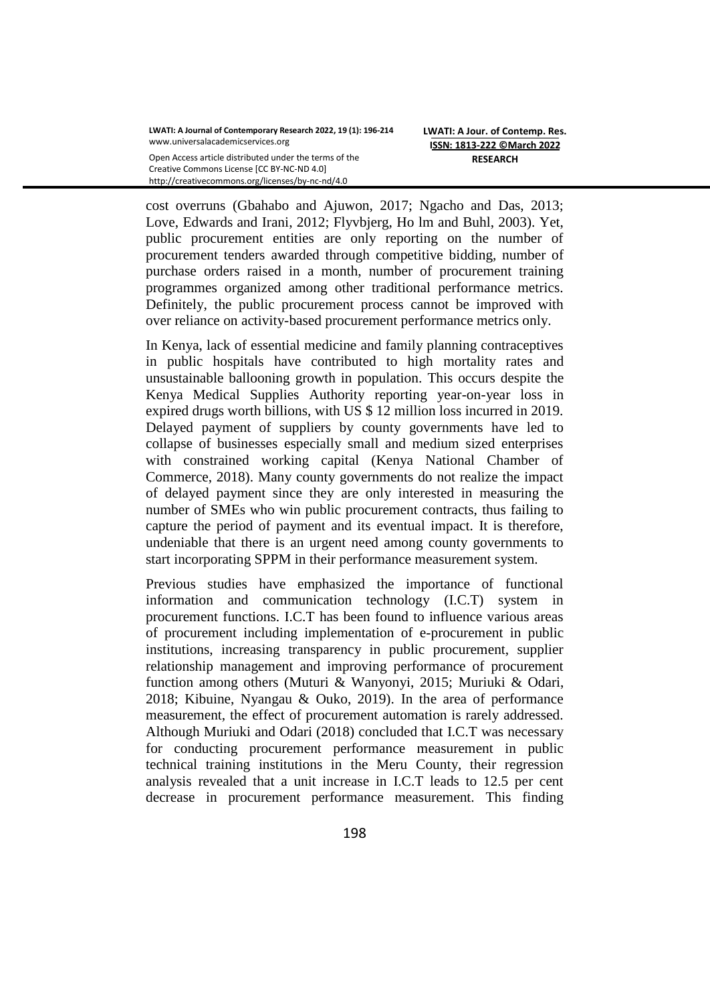cost overruns (Gbahabo and Ajuwon, 2017; Ngacho and Das, 2013; Love, Edwards and Irani, 2012; Flyvbjerg, Ho lm and Buhl, 2003). Yet, public procurement entities are only reporting on the number of procurement tenders awarded through competitive bidding, number of purchase orders raised in a month, number of procurement training programmes organized among other traditional performance metrics. Definitely, the public procurement process cannot be improved with over reliance on activity-based procurement performance metrics only.

In Kenya, lack of essential medicine and family planning contraceptives in public hospitals have contributed to high mortality rates and unsustainable ballooning growth in population. This occurs despite the Kenya Medical Supplies Authority reporting year-on-year loss in expired drugs worth billions, with US \$ 12 million loss incurred in 2019. Delayed payment of suppliers by county governments have led to collapse of businesses especially small and medium sized enterprises with constrained working capital (Kenya National Chamber of Commerce, 2018). Many county governments do not realize the impact of delayed payment since they are only interested in measuring the number of SMEs who win public procurement contracts, thus failing to capture the period of payment and its eventual impact. It is therefore, undeniable that there is an urgent need among county governments to start incorporating SPPM in their performance measurement system.

Previous studies have emphasized the importance of functional information and communication technology (I.C.T) system in procurement functions. I.C.T has been found to influence various areas of procurement including implementation of e-procurement in public institutions, increasing transparency in public procurement, supplier relationship management and improving performance of procurement function among others (Muturi & Wanyonyi, 2015; Muriuki & Odari, 2018; Kibuine, Nyangau & Ouko, 2019). In the area of performance measurement, the effect of procurement automation is rarely addressed. Although Muriuki and Odari (2018) concluded that I.C.T was necessary for conducting procurement performance measurement in public technical training institutions in the Meru County, their regression analysis revealed that a unit increase in I.C.T leads to 12.5 per cent decrease in procurement performance measurement. This finding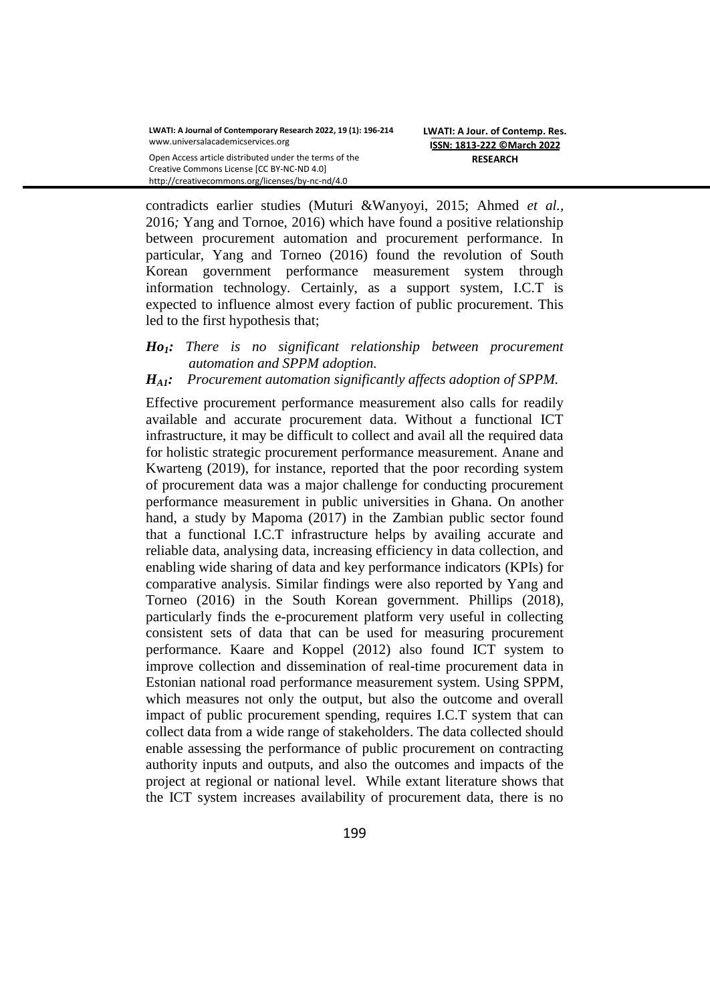http://creativecommons.org/licenses/by-nc-nd/4.0

contradicts earlier studies (Muturi &Wanyoyi, 2015; Ahmed *et al.,*  2016*;* Yang and Tornoe, 2016) which have found a positive relationship between procurement automation and procurement performance. In particular, Yang and Torneo (2016) found the revolution of South Korean government performance measurement system through information technology. Certainly, as a support system, I.C.T is expected to influence almost every faction of public procurement. This led to the first hypothesis that;

## *Ho1: There is no significant relationship between procurement automation and SPPM adoption.*

## *HA1: Procurement automation significantly affects adoption of SPPM.*

Effective procurement performance measurement also calls for readily available and accurate procurement data. Without a functional ICT infrastructure, it may be difficult to collect and avail all the required data for holistic strategic procurement performance measurement. Anane and Kwarteng (2019), for instance, reported that the poor recording system of procurement data was a major challenge for conducting procurement performance measurement in public universities in Ghana. On another hand, a study by Mapoma (2017) in the Zambian public sector found that a functional I.C.T infrastructure helps by availing accurate and reliable data, analysing data, increasing efficiency in data collection, and enabling wide sharing of data and key performance indicators (KPIs) for comparative analysis. Similar findings were also reported by Yang and Torneo (2016) in the South Korean government. Phillips (2018), particularly finds the e-procurement platform very useful in collecting consistent sets of data that can be used for measuring procurement performance. Kaare and Koppel (2012) also found ICT system to improve collection and dissemination of real-time procurement data in Estonian national road performance measurement system. Using SPPM, which measures not only the output, but also the outcome and overall impact of public procurement spending, requires I.C.T system that can collect data from a wide range of stakeholders. The data collected should enable assessing the performance of public procurement on contracting authority inputs and outputs, and also the outcomes and impacts of the project at regional or national level. While extant literature shows that the ICT system increases availability of procurement data, there is no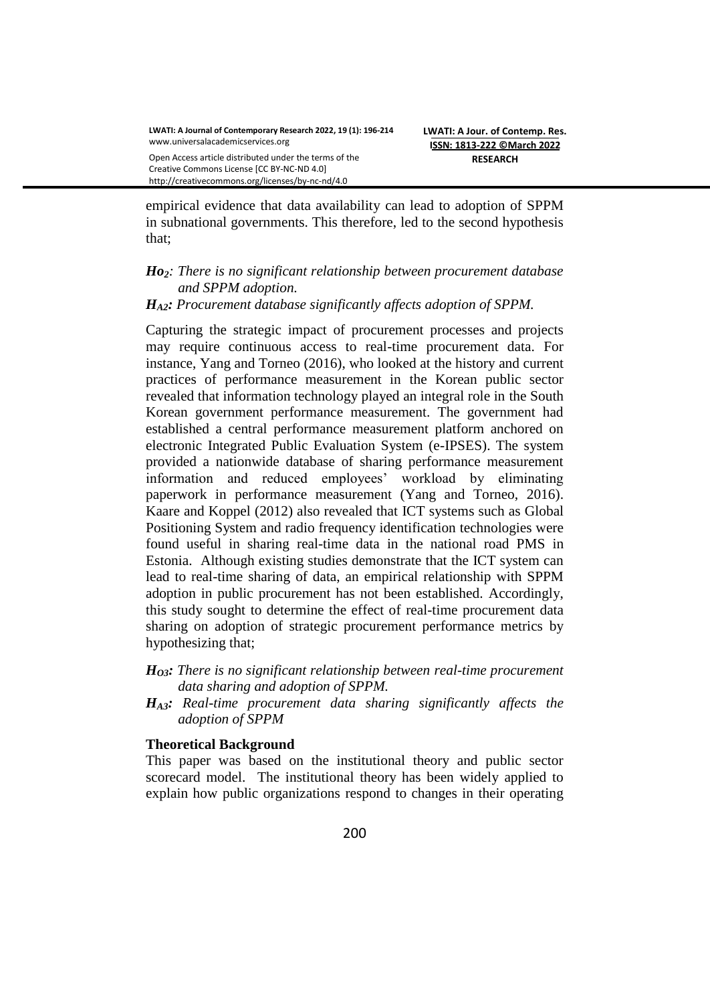http://creativecommons.org/licenses/by-nc-nd/4.0

empirical evidence that data availability can lead to adoption of SPPM in subnational governments. This therefore, led to the second hypothesis that;

#### *Ho2: There is no significant relationship between procurement database and SPPM adoption.*

### *HA2: Procurement database significantly affects adoption of SPPM.*

Capturing the strategic impact of procurement processes and projects may require continuous access to real-time procurement data. For instance, Yang and Torneo (2016), who looked at the history and current practices of performance measurement in the Korean public sector revealed that information technology played an integral role in the South Korean government performance measurement. The government had established a central performance measurement platform anchored on electronic Integrated Public Evaluation System (e-IPSES). The system provided a nationwide database of sharing performance measurement information and reduced employees' workload by eliminating paperwork in performance measurement (Yang and Torneo, 2016). Kaare and Koppel (2012) also revealed that ICT systems such as Global Positioning System and radio frequency identification technologies were found useful in sharing real-time data in the national road PMS in Estonia. Although existing studies demonstrate that the ICT system can lead to real-time sharing of data, an empirical relationship with SPPM adoption in public procurement has not been established. Accordingly, this study sought to determine the effect of real-time procurement data sharing on adoption of strategic procurement performance metrics by hypothesizing that;

### *HO3: There is no significant relationship between real-time procurement data sharing and adoption of SPPM.*

*HA3: Real-time procurement data sharing significantly affects the adoption of SPPM* 

#### **Theoretical Background**

This paper was based on the institutional theory and public sector scorecard model. The institutional theory has been widely applied to explain how public organizations respond to changes in their operating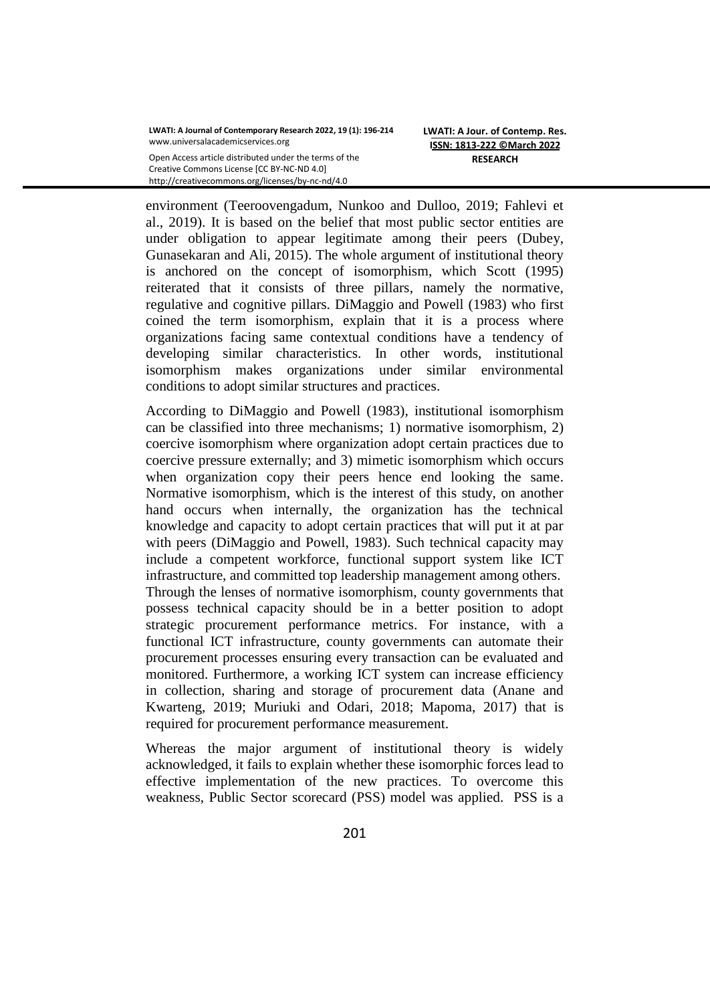environment (Teeroovengadum, Nunkoo and Dulloo, 2019; Fahlevi et al., 2019). It is based on the belief that most public sector entities are under obligation to appear legitimate among their peers (Dubey, Gunasekaran and Ali, 2015). The whole argument of institutional theory is anchored on the concept of isomorphism, which Scott (1995) reiterated that it consists of three pillars, namely the normative, regulative and cognitive pillars. DiMaggio and Powell (1983) who first coined the term isomorphism, explain that it is a process where organizations facing same contextual conditions have a tendency of developing similar characteristics. In other words, institutional isomorphism makes organizations under similar environmental conditions to adopt similar structures and practices.

According to DiMaggio and Powell (1983), institutional isomorphism can be classified into three mechanisms; 1) normative isomorphism, 2) coercive isomorphism where organization adopt certain practices due to coercive pressure externally; and 3) mimetic isomorphism which occurs when organization copy their peers hence end looking the same. Normative isomorphism, which is the interest of this study, on another hand occurs when internally, the organization has the technical knowledge and capacity to adopt certain practices that will put it at par with peers (DiMaggio and Powell, 1983). Such technical capacity may include a competent workforce, functional support system like ICT infrastructure, and committed top leadership management among others. Through the lenses of normative isomorphism, county governments that possess technical capacity should be in a better position to adopt strategic procurement performance metrics. For instance, with a functional ICT infrastructure, county governments can automate their procurement processes ensuring every transaction can be evaluated and monitored. Furthermore, a working ICT system can increase efficiency in collection, sharing and storage of procurement data (Anane and Kwarteng, 2019; Muriuki and Odari, 2018; Mapoma, 2017) that is required for procurement performance measurement.

Whereas the major argument of institutional theory is widely acknowledged, it fails to explain whether these isomorphic forces lead to effective implementation of the new practices. To overcome this weakness, Public Sector scorecard (PSS) model was applied. PSS is a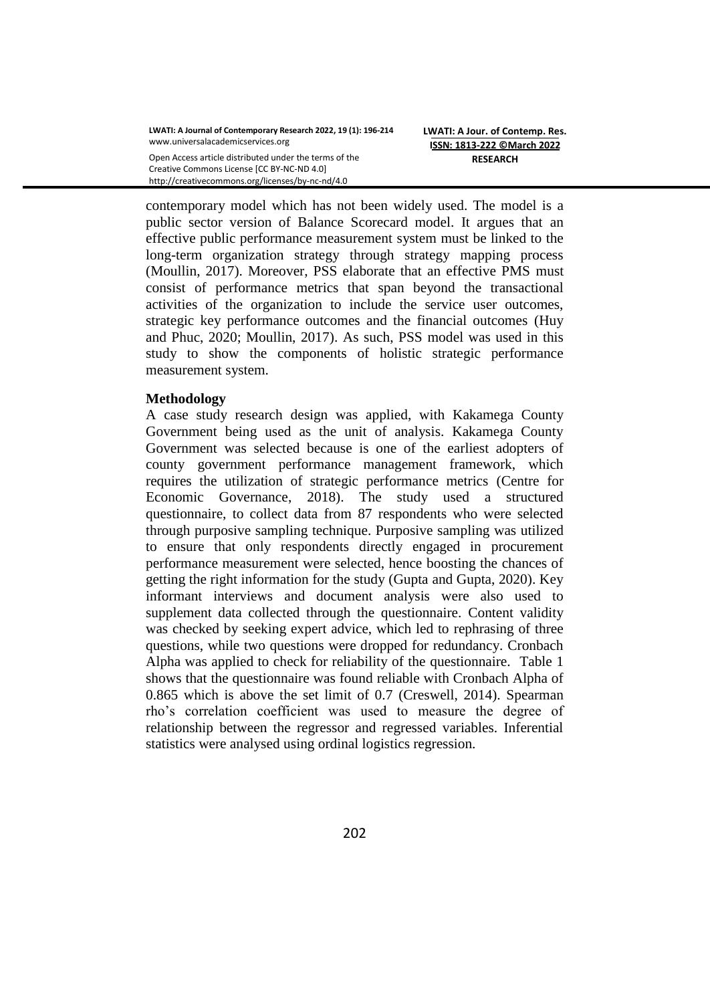contemporary model which has not been widely used. The model is a public sector version of Balance Scorecard model. It argues that an effective public performance measurement system must be linked to the long-term organization strategy through strategy mapping process (Moullin, 2017). Moreover, PSS elaborate that an effective PMS must consist of performance metrics that span beyond the transactional activities of the organization to include the service user outcomes, strategic key performance outcomes and the financial outcomes (Huy and Phuc, 2020; Moullin, 2017). As such, PSS model was used in this study to show the components of holistic strategic performance measurement system.

### **Methodology**

A case study research design was applied, with Kakamega County Government being used as the unit of analysis. Kakamega County Government was selected because is one of the earliest adopters of county government performance management framework, which requires the utilization of strategic performance metrics (Centre for Economic Governance, 2018). The study used a structured questionnaire, to collect data from 87 respondents who were selected through purposive sampling technique. Purposive sampling was utilized to ensure that only respondents directly engaged in procurement performance measurement were selected, hence boosting the chances of getting the right information for the study (Gupta and Gupta, 2020). Key informant interviews and document analysis were also used to supplement data collected through the questionnaire. Content validity was checked by seeking expert advice, which led to rephrasing of three questions, while two questions were dropped for redundancy. Cronbach Alpha was applied to check for reliability of the questionnaire. Table 1 shows that the questionnaire was found reliable with Cronbach Alpha of 0.865 which is above the set limit of 0.7 (Creswell, 2014). Spearman rho's correlation coefficient was used to measure the degree of relationship between the regressor and regressed variables. Inferential statistics were analysed using ordinal logistics regression.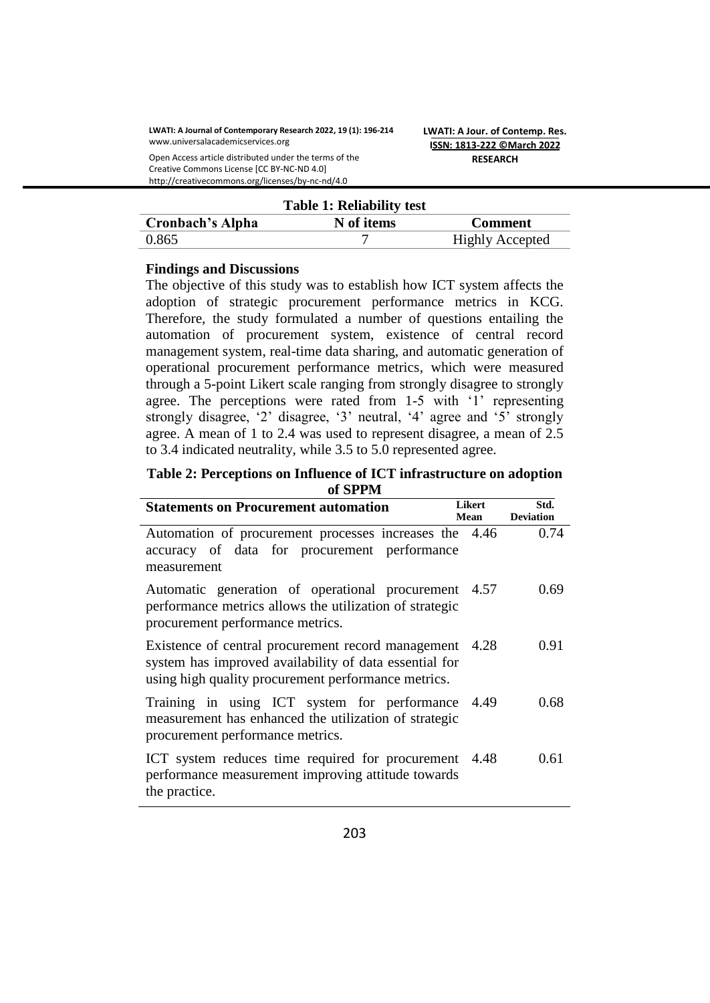**LWATI: A Journal of Contemporary Research 2022, 19 (1): 196-214** www.universalacademicservices.org

Open Access article distributed under the terms of the Creative Commons License [CC BY-NC-ND 4.0] http://creativecommons.org/licenses/by-nc-nd/4.0

**LWATI: A Jour. of Contemp. Res. ISSN: 1813-222 ©March 2022 RESEARCH**

|                  | <b>Table 1: Reliability test</b> |                        |
|------------------|----------------------------------|------------------------|
| Cronbach's Alpha | N of items                       | <b>Comment</b>         |
| 0.865            |                                  | <b>Highly Accepted</b> |

### **Findings and Discussions**

The objective of this study was to establish how ICT system affects the adoption of strategic procurement performance metrics in KCG. Therefore, the study formulated a number of questions entailing the automation of procurement system, existence of central record management system, real-time data sharing, and automatic generation of operational procurement performance metrics, which were measured through a 5-point Likert scale ranging from strongly disagree to strongly agree. The perceptions were rated from 1-5 with '1' representing strongly disagree, '2' disagree, '3' neutral, '4' agree and '5' strongly agree. A mean of 1 to 2.4 was used to represent disagree, a mean of 2.5 to 3.4 indicated neutrality, while 3.5 to 5.0 represented agree.

#### **Table 2: Perceptions on Influence of ICT infrastructure on adoption of SPPM**

| <b>Statements on Procurement automation</b>                                                                                                                         |       | <b>Likert</b><br>Std.<br><b>Deviation</b> |
|---------------------------------------------------------------------------------------------------------------------------------------------------------------------|-------|-------------------------------------------|
| Automation of procurement processes increases the 4.46<br>accuracy of data for procurement performance<br>measurement                                               |       | 0.74                                      |
| Automatic generation of operational procurement 4.57<br>performance metrics allows the utilization of strategic<br>procurement performance metrics.                 |       | 0.69                                      |
| Existence of central procurement record management<br>system has improved availability of data essential for<br>using high quality procurement performance metrics. | -4.28 | 0.91                                      |
| Training in using ICT system for performance 4.49<br>measurement has enhanced the utilization of strategic<br>procurement performance metrics.                      |       | 0.68                                      |
| ICT system reduces time required for procurement 4.48<br>performance measurement improving attitude towards<br>the practice.                                        |       | 0.61                                      |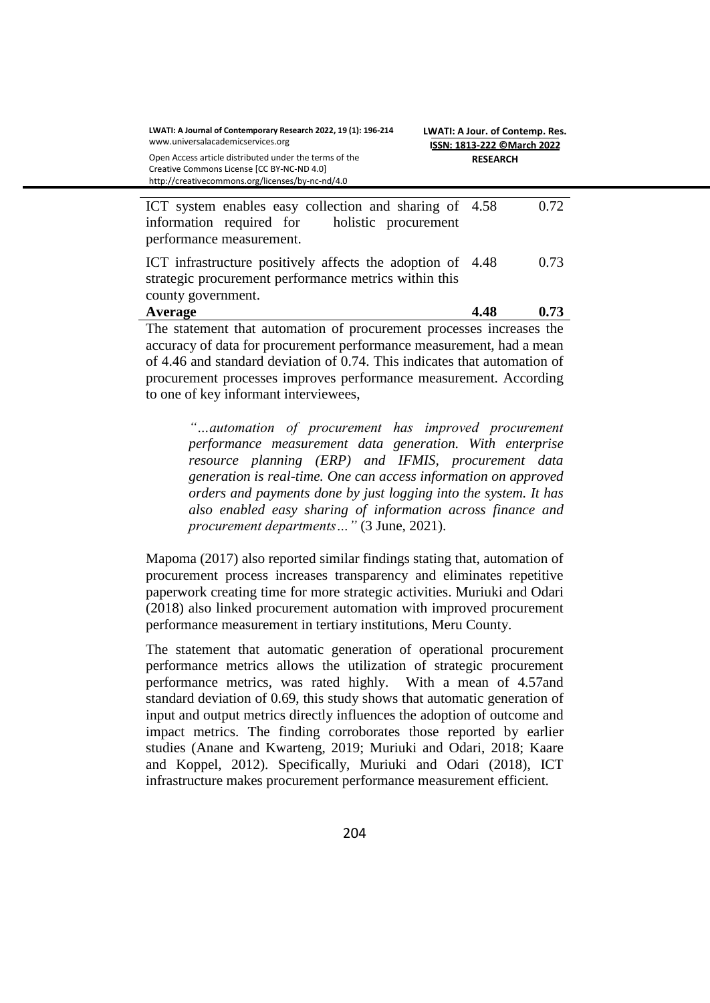| LWATI: A Journal of Contemporary Research 2022, 19 (1): 196-214<br>www.universalacademicservices.org                                                                                                                                                                                                                                                                                                                                                              | LWATI: A Jour. of Contemp. Res.<br>ISSN: 1813-222 ©March 2022 |  |  |
|-------------------------------------------------------------------------------------------------------------------------------------------------------------------------------------------------------------------------------------------------------------------------------------------------------------------------------------------------------------------------------------------------------------------------------------------------------------------|---------------------------------------------------------------|--|--|
| Open Access article distributed under the terms of the<br>Creative Commons License [CC BY-NC-ND 4.0]<br>http://creativecommons.org/licenses/by-nc-nd/4.0                                                                                                                                                                                                                                                                                                          | <b>RESEARCH</b>                                               |  |  |
| ICT system enables easy collection and sharing of 4.58<br>information required for holistic procurement<br>performance measurement.                                                                                                                                                                                                                                                                                                                               | 0.72                                                          |  |  |
| ICT infrastructure positively affects the adoption of 4.48<br>strategic procurement performance metrics within this<br>county government.                                                                                                                                                                                                                                                                                                                         | 0.73                                                          |  |  |
| Average                                                                                                                                                                                                                                                                                                                                                                                                                                                           | 4.48<br>0.73                                                  |  |  |
| The statement that automation of procurement processes increases the<br>accuracy of data for procurement performance measurement, had a mean<br>$\mathcal{C}$ and the state $\mathcal{C}$ and $\mathcal{C}$ and $\mathcal{C}$ and $\mathcal{C}$ and $\mathcal{C}$ and $\mathcal{C}$ and $\mathcal{C}$ and $\mathcal{C}$ and $\mathcal{C}$ and $\mathcal{C}$ and $\mathcal{C}$ and $\mathcal{C}$ and $\mathcal{C}$ and $\mathcal{C}$ and $\mathcal{C}$ and $\math$ |                                                               |  |  |

of 4.46 and standard deviation of 0.74. This indicates that automation of procurement processes improves performance measurement. According to one of key informant interviewees,

*"…automation of procurement has improved procurement performance measurement data generation. With enterprise resource planning (ERP) and IFMIS, procurement data generation is real-time. One can access information on approved orders and payments done by just logging into the system. It has also enabled easy sharing of information across finance and procurement departments…"* (3 June, 2021).

Mapoma (2017) also reported similar findings stating that, automation of procurement process increases transparency and eliminates repetitive paperwork creating time for more strategic activities. Muriuki and Odari (2018) also linked procurement automation with improved procurement performance measurement in tertiary institutions, Meru County.

The statement that automatic generation of operational procurement performance metrics allows the utilization of strategic procurement performance metrics, was rated highly. With a mean of 4.57and standard deviation of 0.69, this study shows that automatic generation of input and output metrics directly influences the adoption of outcome and impact metrics. The finding corroborates those reported by earlier studies (Anane and Kwarteng, 2019; Muriuki and Odari, 2018; Kaare and Koppel, 2012). Specifically, Muriuki and Odari (2018), ICT infrastructure makes procurement performance measurement efficient.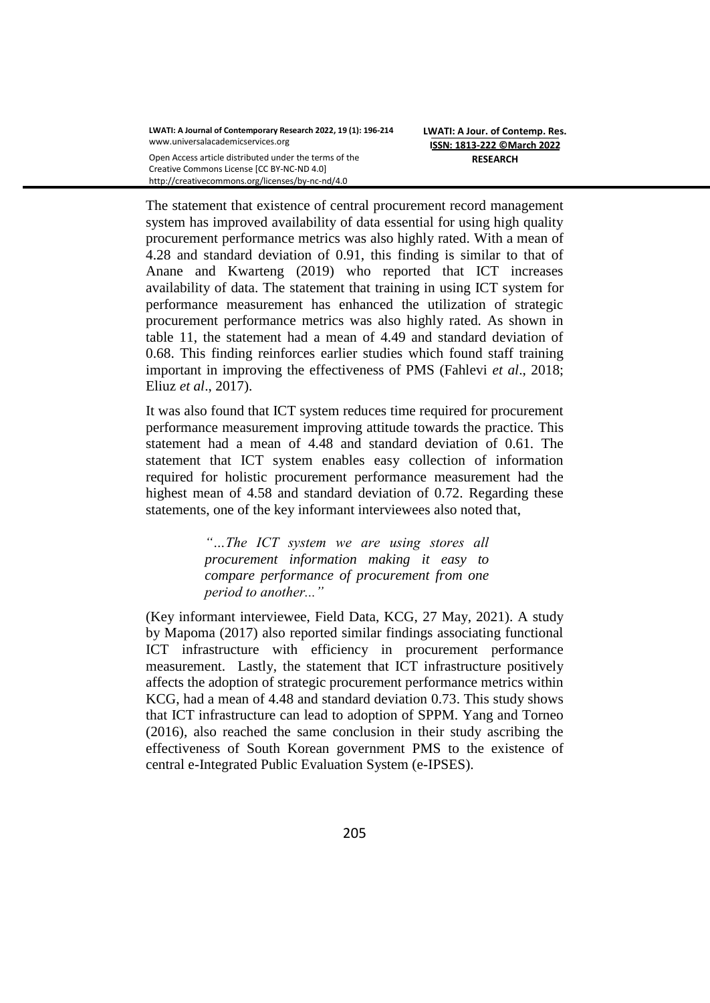The statement that existence of central procurement record management system has improved availability of data essential for using high quality procurement performance metrics was also highly rated. With a mean of 4.28 and standard deviation of 0.91, this finding is similar to that of Anane and Kwarteng (2019) who reported that ICT increases availability of data. The statement that training in using ICT system for performance measurement has enhanced the utilization of strategic procurement performance metrics was also highly rated. As shown in table 11, the statement had a mean of 4.49 and standard deviation of 0.68. This finding reinforces earlier studies which found staff training important in improving the effectiveness of PMS (Fahlevi *et al*., 2018; Eliuz *et al*., 2017).

It was also found that ICT system reduces time required for procurement performance measurement improving attitude towards the practice. This statement had a mean of 4.48 and standard deviation of 0.61. The statement that ICT system enables easy collection of information required for holistic procurement performance measurement had the highest mean of 4.58 and standard deviation of 0.72. Regarding these statements, one of the key informant interviewees also noted that,

> *"…The ICT system we are using stores all procurement information making it easy to compare performance of procurement from one period to another..."*

(Key informant interviewee, Field Data, KCG, 27 May, 2021). A study by Mapoma (2017) also reported similar findings associating functional ICT infrastructure with efficiency in procurement performance measurement. Lastly, the statement that ICT infrastructure positively affects the adoption of strategic procurement performance metrics within KCG, had a mean of 4.48 and standard deviation 0.73. This study shows that ICT infrastructure can lead to adoption of SPPM. Yang and Torneo (2016), also reached the same conclusion in their study ascribing the effectiveness of South Korean government PMS to the existence of central e-Integrated Public Evaluation System (e-IPSES).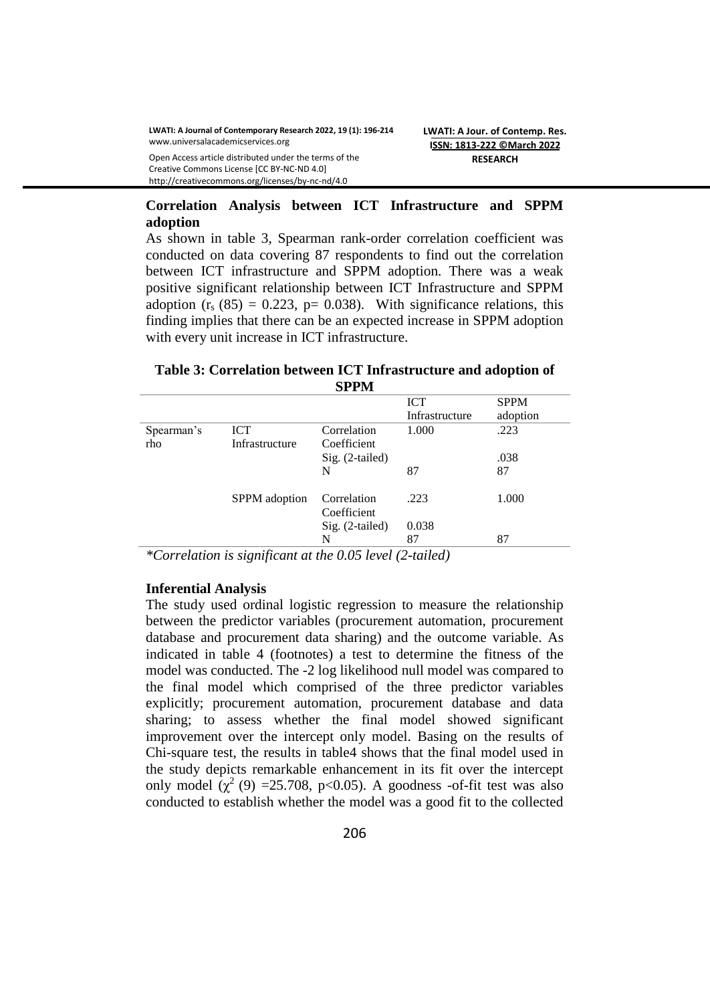Creative Commons License [CC BY-NC-ND 4.0] http://creativecommons.org/licenses/by-nc-nd/4.0

## **Correlation Analysis between ICT Infrastructure and SPPM adoption**

As shown in table 3, Spearman rank-order correlation coefficient was conducted on data covering 87 respondents to find out the correlation between ICT infrastructure and SPPM adoption. There was a weak positive significant relationship between ICT Infrastructure and SPPM adoption  $(r_s (85) = 0.223$ , p= 0.038). With significance relations, this finding implies that there can be an expected increase in SPPM adoption with every unit increase in ICT infrastructure.

#### **Table 3: Correlation between ICT Infrastructure and adoption of SPPM**

|            |                |                            | <b>ICT</b>     | <b>SPPM</b> |
|------------|----------------|----------------------------|----------------|-------------|
|            |                |                            | Infrastructure | adoption    |
| Spearman's | <b>ICT</b>     | Correlation                | 1.000          | .223        |
| rho        | Infrastructure | Coefficient                |                |             |
|            |                | Sig. (2-tailed)            |                | .038        |
|            |                | N                          | 87             | 87          |
|            | SPPM adoption  | Correlation<br>Coefficient | .223           | 1.000       |
|            |                | $Sig. (2-tailed)$          | 0.038          |             |
|            |                | N                          | 87             | 87          |

*\*Correlation is significant at the 0.05 level (2-tailed)*

## **Inferential Analysis**

The study used ordinal logistic regression to measure the relationship between the predictor variables (procurement automation, procurement database and procurement data sharing) and the outcome variable. As indicated in table 4 (footnotes) a test to determine the fitness of the model was conducted. The -2 log likelihood null model was compared to the final model which comprised of the three predictor variables explicitly; procurement automation, procurement database and data sharing; to assess whether the final model showed significant improvement over the intercept only model. Basing on the results of Chi-square test, the results in table4 shows that the final model used in the study depicts remarkable enhancement in its fit over the intercept only model  $(\chi^2(9) = 25.708, \text{ p} < 0.05)$ . A goodness -of-fit test was also conducted to establish whether the model was a good fit to the collected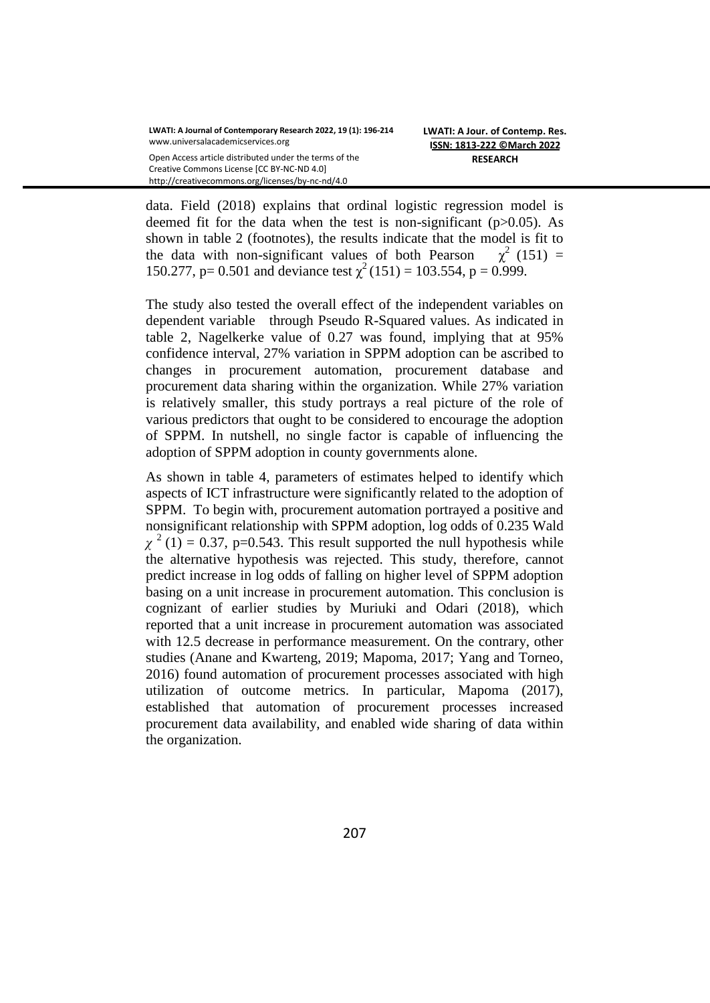data. Field (2018) explains that ordinal logistic regression model is deemed fit for the data when the test is non-significant (p>0.05). As shown in table 2 (footnotes), the results indicate that the model is fit to the data with non-significant values of both Pearson  $\chi^2$  (151) = 150.277, p= 0.501 and deviance test  $\chi^2(151) = 103.554$ , p = 0.999.

The study also tested the overall effect of the independent variables on dependent variable through Pseudo R-Squared values. As indicated in table 2, Nagelkerke value of 0.27 was found, implying that at 95% confidence interval, 27% variation in SPPM adoption can be ascribed to changes in procurement automation, procurement database and procurement data sharing within the organization. While 27% variation is relatively smaller, this study portrays a real picture of the role of various predictors that ought to be considered to encourage the adoption of SPPM. In nutshell, no single factor is capable of influencing the adoption of SPPM adoption in county governments alone.

As shown in table 4, parameters of estimates helped to identify which aspects of ICT infrastructure were significantly related to the adoption of SPPM. To begin with, procurement automation portrayed a positive and nonsignificant relationship with SPPM adoption, log odds of 0.235 Wald  $\chi^2$  (1) = 0.37, p=0.543. This result supported the null hypothesis while the alternative hypothesis was rejected. This study, therefore, cannot predict increase in log odds of falling on higher level of SPPM adoption basing on a unit increase in procurement automation. This conclusion is cognizant of earlier studies by Muriuki and Odari (2018), which reported that a unit increase in procurement automation was associated with 12.5 decrease in performance measurement. On the contrary, other studies (Anane and Kwarteng, 2019; Mapoma, 2017; Yang and Torneo, 2016) found automation of procurement processes associated with high utilization of outcome metrics. In particular, Mapoma (2017), established that automation of procurement processes increased procurement data availability, and enabled wide sharing of data within the organization.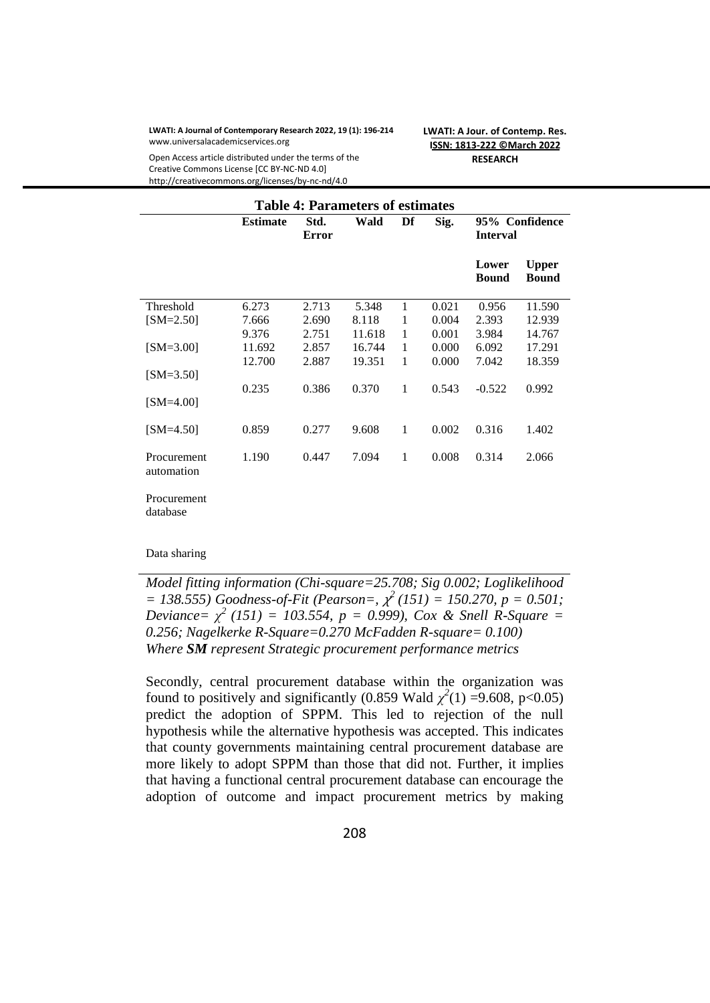#### **LWATI: A Journal of Contemporary Research 2022, 19 (1): 196-214** www.universalacademicservices.org

**LWATI: A Jour. of Contemp. Res. ISSN: 1813-222 ©March 2022 RESEARCH**

Open Access article distributed under the terms of the Creative Commons License [CC BY-NC-ND 4.0] http://creativecommons.org/licenses/by-nc-nd/4.0

| <b>Table 4: Parameters of estimates</b> |                 |               |        |    |       |                                   |                              |
|-----------------------------------------|-----------------|---------------|--------|----|-------|-----------------------------------|------------------------------|
|                                         | <b>Estimate</b> | Std.<br>Error | Wald   | Df | Sig.  | 95% Confidence<br><b>Interval</b> |                              |
|                                         |                 |               |        |    |       | Lower<br><b>Bound</b>             | <b>Upper</b><br><b>Bound</b> |
| Threshold                               | 6.273           | 2.713         | 5.348  | 1  | 0.021 | 0.956                             | 11.590                       |
| $[SM=2.50]$                             | 7.666           | 2.690         | 8.118  | 1  | 0.004 | 2.393                             | 12.939                       |
|                                         | 9.376           | 2.751         | 11.618 | 1  | 0.001 | 3.984                             | 14.767                       |
| $[SM=3.00]$                             | 11.692          | 2.857         | 16.744 | 1  | 0.000 | 6.092                             | 17.291                       |
|                                         | 12.700          | 2.887         | 19.351 | 1  | 0.000 | 7.042                             | 18.359                       |
| $[SM=3.50]$                             |                 |               |        |    |       |                                   |                              |
| $[SM=4.00]$                             | 0.235           | 0.386         | 0.370  | 1  | 0.543 | $-0.522$                          | 0.992                        |
| $[SM=4.50]$                             | 0.859           | 0.277         | 9.608  | 1  | 0.002 | 0.316                             | 1.402                        |
| Procurement<br>automation               | 1.190           | 0.447         | 7.094  | 1  | 0.008 | 0.314                             | 2.066                        |
| Procurement<br>database                 |                 |               |        |    |       |                                   |                              |

#### Data sharing

*Model fitting information (Chi-square=25.708; Sig 0.002; Loglikelihood*   $= 138.555$ ) Goodness-of-Fit (Pearson=,  $\chi^2(151) = 150.270$ ,  $p = 0.501$ ; *Deviance=*  $\chi^2$  (151) = 103.554, p = 0.999), Cox & Snell R-Square = *0.256; Nagelkerke R-Square=0.270 McFadden R-square= 0.100) Where SM represent Strategic procurement performance metrics*

Secondly, central procurement database within the organization was found to positively and significantly (0.859 Wald  $\chi^2(1) = 9.608$ , p<0.05) predict the adoption of SPPM. This led to rejection of the null hypothesis while the alternative hypothesis was accepted. This indicates that county governments maintaining central procurement database are more likely to adopt SPPM than those that did not. Further, it implies that having a functional central procurement database can encourage the adoption of outcome and impact procurement metrics by making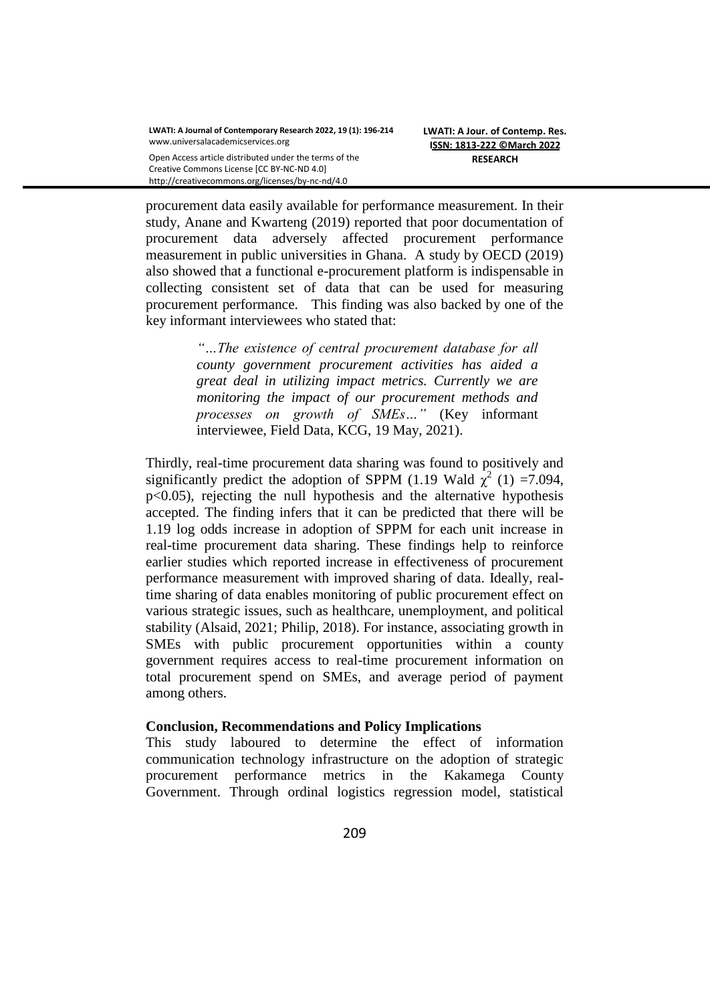http://creativecommons.org/licenses/by-nc-nd/4.0

procurement data easily available for performance measurement. In their study, Anane and Kwarteng (2019) reported that poor documentation of procurement data adversely affected procurement performance measurement in public universities in Ghana. A study by OECD (2019) also showed that a functional e-procurement platform is indispensable in collecting consistent set of data that can be used for measuring procurement performance. This finding was also backed by one of the key informant interviewees who stated that:

> *"…The existence of central procurement database for all county government procurement activities has aided a great deal in utilizing impact metrics. Currently we are monitoring the impact of our procurement methods and processes on growth of SMEs…"* (Key informant interviewee, Field Data, KCG, 19 May, 2021).

Thirdly, real-time procurement data sharing was found to positively and significantly predict the adoption of SPPM (1.19 Wald  $\chi^2$  (1) =7.094, p<0.05), rejecting the null hypothesis and the alternative hypothesis accepted. The finding infers that it can be predicted that there will be 1.19 log odds increase in adoption of SPPM for each unit increase in real-time procurement data sharing. These findings help to reinforce earlier studies which reported increase in effectiveness of procurement performance measurement with improved sharing of data. Ideally, realtime sharing of data enables monitoring of public procurement effect on various strategic issues, such as healthcare, unemployment, and political stability (Alsaid, 2021; Philip, 2018). For instance, associating growth in SMEs with public procurement opportunities within a county government requires access to real-time procurement information on total procurement spend on SMEs, and average period of payment among others.

#### **Conclusion, Recommendations and Policy Implications**

This study laboured to determine the effect of information communication technology infrastructure on the adoption of strategic procurement performance metrics in the Kakamega County Government. Through ordinal logistics regression model, statistical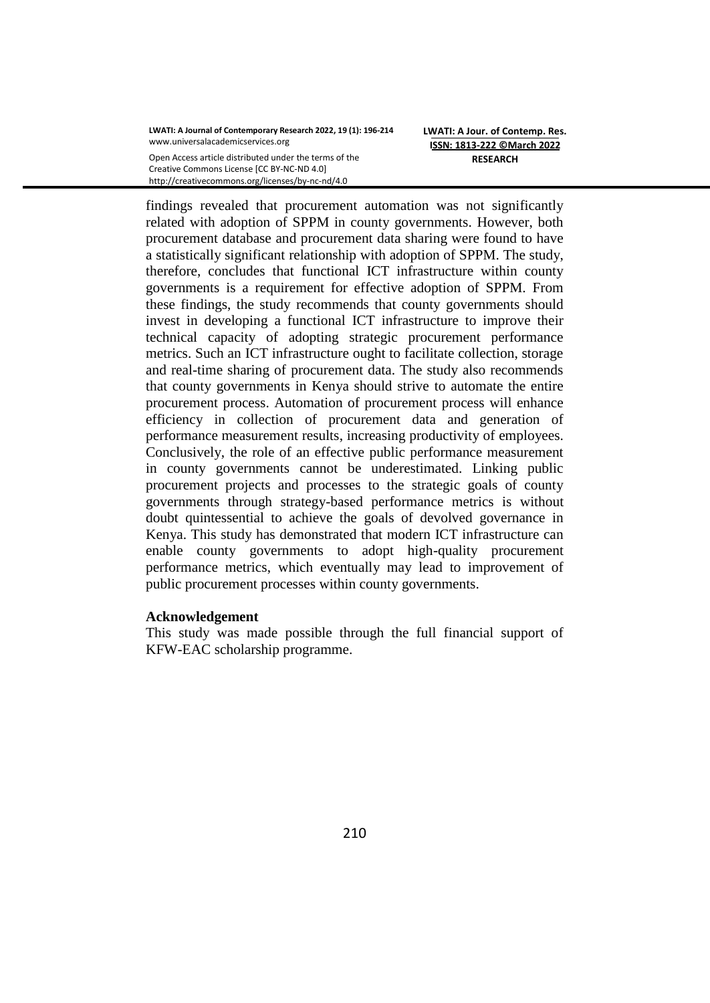**LWATI: A Jour. of Contemp. Res. ISSN: 1813-222 ©March 2022 RESEARCH**

findings revealed that procurement automation was not significantly related with adoption of SPPM in county governments. However, both procurement database and procurement data sharing were found to have a statistically significant relationship with adoption of SPPM. The study, therefore, concludes that functional ICT infrastructure within county governments is a requirement for effective adoption of SPPM. From these findings, the study recommends that county governments should invest in developing a functional ICT infrastructure to improve their technical capacity of adopting strategic procurement performance metrics. Such an ICT infrastructure ought to facilitate collection, storage and real-time sharing of procurement data. The study also recommends that county governments in Kenya should strive to automate the entire procurement process. Automation of procurement process will enhance efficiency in collection of procurement data and generation of performance measurement results, increasing productivity of employees. Conclusively, the role of an effective public performance measurement in county governments cannot be underestimated. Linking public procurement projects and processes to the strategic goals of county governments through strategy-based performance metrics is without doubt quintessential to achieve the goals of devolved governance in Kenya. This study has demonstrated that modern ICT infrastructure can enable county governments to adopt high-quality procurement performance metrics, which eventually may lead to improvement of public procurement processes within county governments.

#### **Acknowledgement**

This study was made possible through the full financial support of KFW-EAC scholarship programme.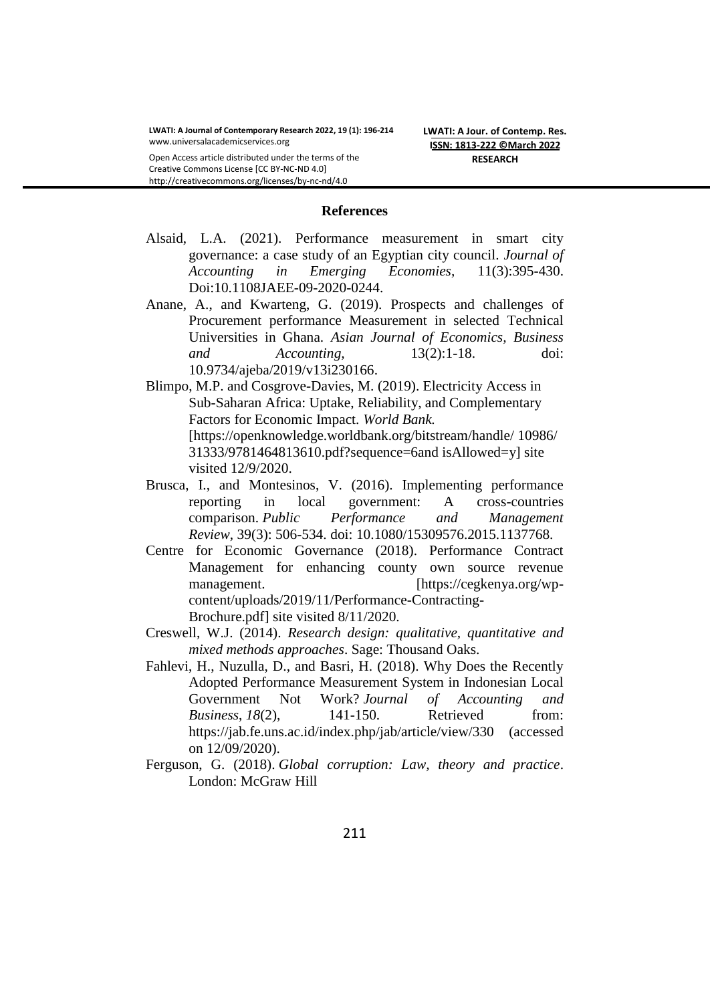Open Access article distributed under the terms of the Creative Commons License [CC BY-NC-ND 4.0] http://creativecommons.org/licenses/by-nc-nd/4.0

#### **References**

- Alsaid, L.A. (2021). Performance measurement in smart city governance: a case study of an Egyptian city council. *Journal of Accounting in Emerging Economies,* 11(3):395-430. Doi:10.1108JAEE-09-2020-0244.
- Anane, A., and Kwarteng, G. (2019). Prospects and challenges of Procurement performance Measurement in selected Technical Universities in Ghana. *Asian Journal of Economics, Business and Accounting,* 13(2):1-18. doi: [10.9734/ajeba/2019/v13i230166.](https://doi.org/10.9734/ajeba/2019/v13i230166)
- Blimpo, M.P. and Cosgrove-Davies, M. (2019). Electricity Access in Sub-Saharan Africa: Uptake, Reliability, and Complementary Factors for Economic Impact. *World Bank.*  [https://openknowledge.worldbank.org/bitstream/handle/ 10986/ 31333/9781464813610.pdf?sequence=6and isAllowed=y] site visited 12/9/2020.
- Brusca, I., and Montesinos, V. (2016). Implementing performance reporting in local government: A cross-countries comparison. *Public Performance and Management Review*, 39(3): 506-534. doi: 10.1080/15309576.2015.1137768.
- Centre for Economic Governance (2018). Performance Contract Management for enhancing county own source revenue management. [https://cegkenya.org/wpcontent/uploads/2019/11/Performance-Contracting-Brochure.pdf] site visited 8/11/2020.
- Creswell, W.J. (2014). *Research design: qualitative, quantitative and mixed methods approaches*. Sage: Thousand Oaks.
- Fahlevi, H., Nuzulla, D., and Basri, H. (2018). Why Does the Recently Adopted Performance Measurement System in Indonesian Local Government Not Work? *Journal of Accounting and Business*, 18(2), 141-150. Retrieved from: <https://jab.fe.uns.ac.id/index.php/jab/article/view/330> (accessed on 12/09/2020).
- Ferguson, G. (2018). *Global corruption: Law, theory and practice*. London: McGraw Hill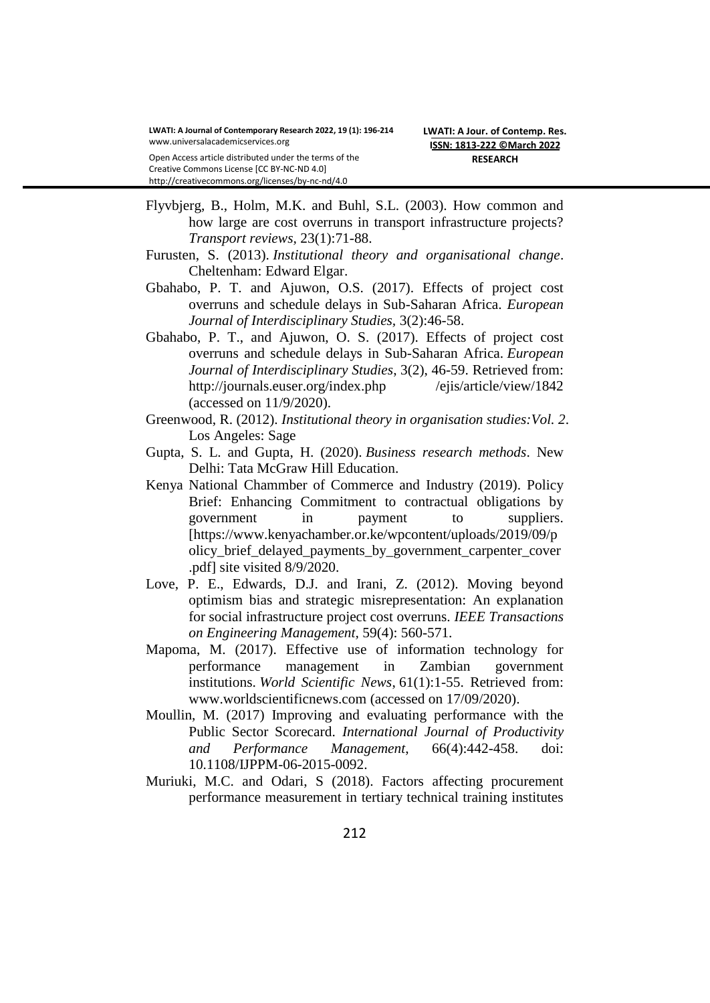Creative Commons License [CC BY-NC-ND 4.0] http://creativecommons.org/licenses/by-nc-nd/4.0

Flyvbjerg, B., Holm, M.K. and Buhl, S.L. (2003). How common and how large are cost overruns in transport infrastructure projects? *Transport reviews,* 23(1):71-88.

- Furusten, S. (2013). *Institutional theory and organisational change*. Cheltenham: Edward Elgar.
- Gbahabo, P. T. and Ajuwon, O.S. (2017). Effects of project cost overruns and schedule delays in Sub-Saharan Africa. *European Journal of Interdisciplinary Studies,* 3(2):46-58.
- Gbahabo, P. T., and Ajuwon, O. S. (2017). Effects of project cost overruns and schedule delays in Sub-Saharan Africa. *European Journal of Interdisciplinary Studies*, 3(2), 46-59. Retrieved from: [http://journals.euser.org/index.php /ejis/article/view/1842](http://journals.euser.org/index.php%20/ejis/article/view/1842) (accessed on 11/9/2020).
- Greenwood, R. (2012). *Institutional theory in organisation studies:Vol. 2*. Los Angeles: Sage
- Gupta, S. L. and Gupta, H. (2020). *Business research methods*. New Delhi: Tata McGraw Hill Education.
- Kenya National Chammber of Commerce and Industry (2019). Policy Brief: Enhancing Commitment to contractual obligations by government in payment to suppliers. [https://www.kenyachamber.or.ke/wpcontent/uploads/2019/09/p olicy\_brief\_delayed\_payments\_by\_government\_carpenter\_cover .pdf] site visited 8/9/2020.
- Love, P. E., Edwards, D.J. and Irani, Z. (2012). Moving beyond optimism bias and strategic misrepresentation: An explanation for social infrastructure project cost overruns. *IEEE Transactions on Engineering Management,* 59(4): 560-571.
- Mapoma, M. (2017). Effective use of information technology for performance management in Zambian government institutions. *World Scientific News*, 61(1):1-55. Retrieved from: [www.worldscientificnews.com](http://www.worldscientificnews.com/) (accessed on 17/09/2020).
- Moullin, M. (2017) Improving and evaluating performance with the Public Sector Scorecard. *International Journal of Productivity and Performance Management*, 66(4):442-458. doi: 10.1108/IJPPM-06-2015-0092.
- Muriuki, M.C. and Odari, S (2018). Factors affecting procurement performance measurement in tertiary technical training institutes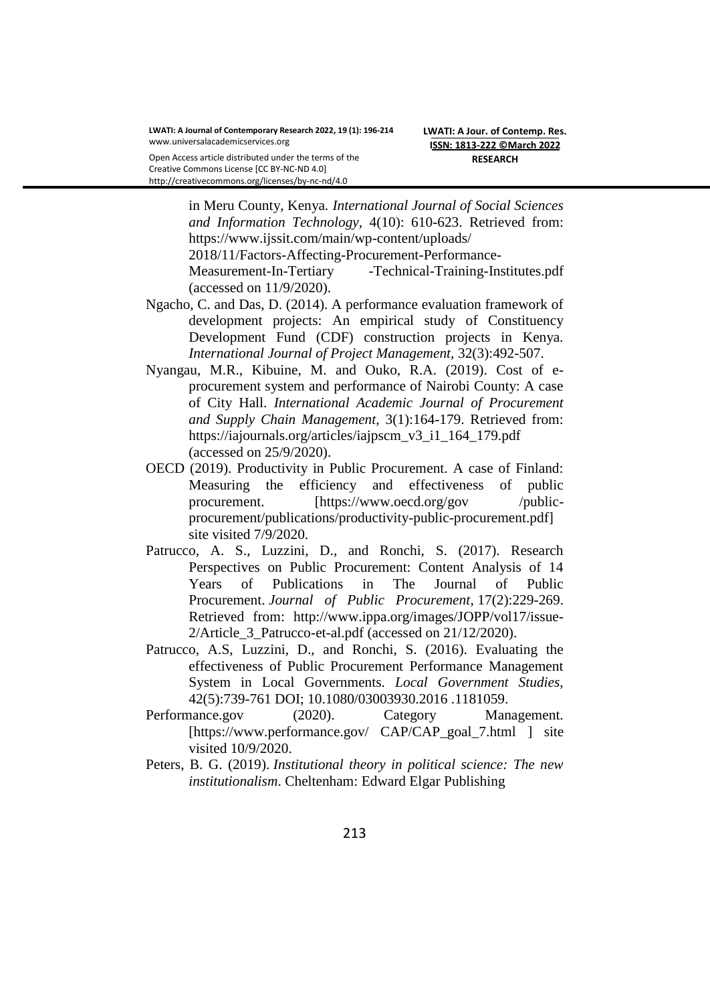Open Access article distributed under the terms of the Creative Commons License [CC BY-NC-ND 4.0] http://creativecommons.org/licenses/by-nc-nd/4.0

> in Meru County, Kenya. *International Journal of Social Sciences and Information Technology,* 4(10): 610-623. Retrieved from: https://www.ijssit.com/main/wp-content/uploads/ 2018/11/Factors-Affecting-Procurement-Performance-Measurement-In-Tertiary -Technical-Training-Institutes.pdf (accessed on 11/9/2020).

- Ngacho, C. and Das, D. (2014). A performance evaluation framework of development projects: An empirical study of Constituency Development Fund (CDF) construction projects in Kenya. *International Journal of Project Management,* 32(3):492-507.
- Nyangau, M.R., Kibuine, M. and Ouko, R.A. (2019). Cost of eprocurement system and performance of Nairobi County: A case of City Hall. *International Academic Journal of Procurement and Supply Chain Management,* 3(1):164-179. Retrieved from: [https://iajournals.org/articles/iajpscm\\_v3\\_i1\\_164\\_179.pdf](https://iajournals.org/articles/iajpscm_v3_i1_164_179.pdf)  (accessed on 25/9/2020).
- OECD (2019). Productivity in Public Procurement. A case of Finland: Measuring the efficiency and effectiveness of public procurement. [https://www.oecd.org/gov /publicprocurement/publications/productivity-public-procurement.pdf] site visited 7/9/2020.
- Patrucco, A. S., Luzzini, D., and Ronchi, S. (2017). Research Perspectives on Public Procurement: Content Analysis of 14 Years of Publications in The Journal of Public Procurement. *Journal of Public Procurement*, 17(2):229-269. Retrieved from: [http://www.ippa.org/images/JOPP/vol17/issue-](http://www.ippa.org/images/JOPP/vol17/issue-2/Article_3_Patrucco-et-al.pdf)[2/Article\\_3\\_Patrucco-et-al.pdf](http://www.ippa.org/images/JOPP/vol17/issue-2/Article_3_Patrucco-et-al.pdf) (accessed on 21/12/2020).
- Patrucco, A.S, Luzzini, D., and Ronchi, S. (2016). Evaluating the effectiveness of Public Procurement Performance Management System in Local Governments. *Local Government Studies,*  42(5):739-761 DOI; 10.1080/03003930.2016 .1181059.
- Performance.gov (2020). Category Management. [\[https://www.performance.gov/ CAP/CAP\\_goal\\_7.html](https://www.performance.gov/%20CAP/CAP_goal_7.html) ] site visited 10/9/2020.
- Peters, B. G. (2019). *Institutional theory in political science: The new institutionalism*. Cheltenham: Edward Elgar Publishing